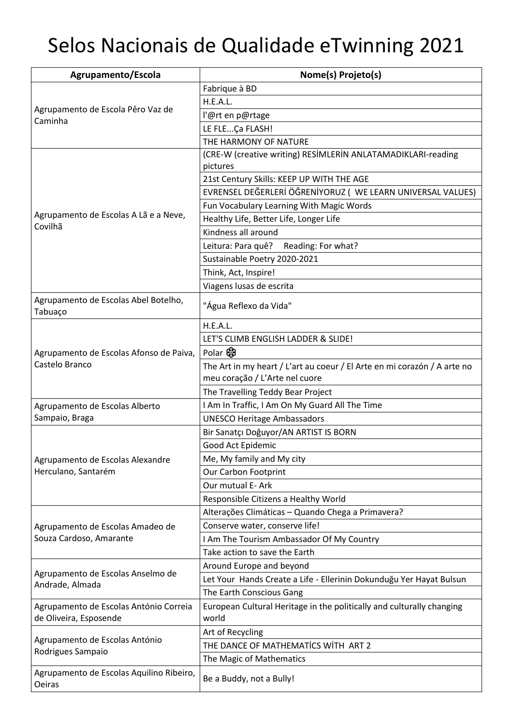## Selos Nacionais de Qualidade eTwinning 2021

| Agrupamento/Escola                                        | Nome(s) Projeto(s)                                                                                         |
|-----------------------------------------------------------|------------------------------------------------------------------------------------------------------------|
| Agrupamento de Escola Pêro Vaz de<br>Caminha              | Fabrique à BD                                                                                              |
|                                                           | H.E.A.L.                                                                                                   |
|                                                           | l'@rt en p@rtage                                                                                           |
|                                                           | LE FLEÇa FLASH!                                                                                            |
|                                                           | THE HARMONY OF NATURE                                                                                      |
|                                                           | (CRE-W (creative writing) RESİMLERİN ANLATAMADIKLARI-reading                                               |
|                                                           | pictures                                                                                                   |
|                                                           | 21st Century Skills: KEEP UP WITH THE AGE                                                                  |
|                                                           | EVRENSEL DEĞERLERİ ÖĞRENİYORUZ ( WE LEARN UNIVERSAL VALUES)                                                |
| Agrupamento de Escolas A Lã e a Neve,                     | Fun Vocabulary Learning With Magic Words                                                                   |
| Covilhã                                                   | Healthy Life, Better Life, Longer Life                                                                     |
|                                                           | Kindness all around                                                                                        |
|                                                           | Leitura: Para quê?<br>Reading: For what?                                                                   |
|                                                           | Sustainable Poetry 2020-2021                                                                               |
|                                                           | Think, Act, Inspire!                                                                                       |
|                                                           | Viagens lusas de escrita                                                                                   |
| Agrupamento de Escolas Abel Botelho,<br>Tabuaço           | "Água Reflexo da Vida"                                                                                     |
|                                                           | H.E.A.L.                                                                                                   |
|                                                           | LET'S CLIMB ENGLISH LADDER & SLIDE!                                                                        |
| Agrupamento de Escolas Afonso de Paiva,                   | Polar &                                                                                                    |
| Castelo Branco                                            | The Art in my heart / L'art au coeur / El Arte en mi corazón / A arte no<br>meu coração / L'Arte nel cuore |
|                                                           | The Travelling Teddy Bear Project                                                                          |
| Agrupamento de Escolas Alberto                            | I Am In Traffic, I Am On My Guard All The Time                                                             |
| Sampaio, Braga                                            | <b>UNESCO Heritage Ambassadors</b>                                                                         |
|                                                           | Bir Sanatçı Doğuyor/AN ARTIST IS BORN                                                                      |
|                                                           | Good Act Epidemic                                                                                          |
| Agrupamento de Escolas Alexandre                          | Me, My family and My city                                                                                  |
| Herculano, Santarém                                       | Our Carbon Footprint                                                                                       |
|                                                           | Our mutual E- Ark                                                                                          |
|                                                           | Responsible Citizens a Healthy World                                                                       |
|                                                           | Alterações Climáticas - Quando Chega a Primavera?                                                          |
| Agrupamento de Escolas Amadeo de                          | Conserve water, conserve life!                                                                             |
| Souza Cardoso, Amarante                                   | I Am The Tourism Ambassador Of My Country                                                                  |
|                                                           | Take action to save the Earth                                                                              |
|                                                           | Around Europe and beyond                                                                                   |
| Agrupamento de Escolas Anselmo de                         | Let Your Hands Create a Life - Ellerinin Dokunduğu Yer Hayat Bulsun                                        |
| Andrade, Almada                                           | The Earth Conscious Gang                                                                                   |
| Agrupamento de Escolas António Correia                    | European Cultural Heritage in the politically and culturally changing                                      |
| de Oliveira, Esposende                                    | world                                                                                                      |
| Agrupamento de Escolas António<br>Rodrigues Sampaio       | Art of Recycling                                                                                           |
|                                                           | THE DANCE OF MATHEMATICS WITH ART 2                                                                        |
|                                                           | The Magic of Mathematics                                                                                   |
| Agrupamento de Escolas Aquilino Ribeiro,<br><b>Oeiras</b> | Be a Buddy, not a Bully!                                                                                   |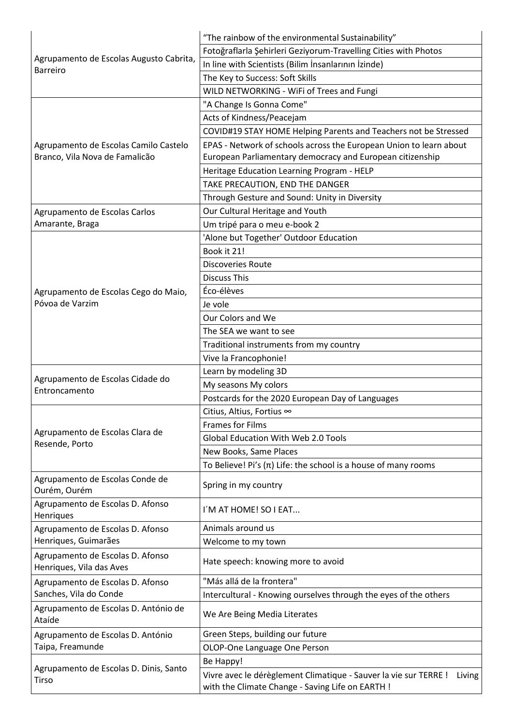| Agrupamento de Escolas Augusto Cabrita,<br><b>Barreiro</b>   | "The rainbow of the environmental Sustainability"                          |
|--------------------------------------------------------------|----------------------------------------------------------------------------|
|                                                              | Fotoğraflarla Şehirleri Geziyorum-Travelling Cities with Photos            |
|                                                              | In line with Scientists (Bilim İnsanlarının İzinde)                        |
|                                                              | The Key to Success: Soft Skills                                            |
|                                                              | WILD NETWORKING - WiFi of Trees and Fungi                                  |
|                                                              | "A Change Is Gonna Come"                                                   |
|                                                              | Acts of Kindness/Peacejam                                                  |
|                                                              | COVID#19 STAY HOME Helping Parents and Teachers not be Stressed            |
| Agrupamento de Escolas Camilo Castelo                        | EPAS - Network of schools across the European Union to learn about         |
| Branco, Vila Nova de Famalicão                               | European Parliamentary democracy and European citizenship                  |
|                                                              | Heritage Education Learning Program - HELP                                 |
|                                                              | TAKE PRECAUTION, END THE DANGER                                            |
|                                                              | Through Gesture and Sound: Unity in Diversity                              |
| Agrupamento de Escolas Carlos                                | Our Cultural Heritage and Youth                                            |
| Amarante, Braga                                              | Um tripé para o meu e-book 2                                               |
|                                                              | 'Alone but Together' Outdoor Education                                     |
|                                                              | Book it 21!                                                                |
|                                                              | <b>Discoveries Route</b>                                                   |
|                                                              | <b>Discuss This</b>                                                        |
| Agrupamento de Escolas Cego do Maio,                         | Éco-élèves                                                                 |
| Póvoa de Varzim                                              | Je vole                                                                    |
|                                                              | Our Colors and We                                                          |
|                                                              | The SEA we want to see                                                     |
|                                                              |                                                                            |
|                                                              | Traditional instruments from my country                                    |
|                                                              | Vive la Francophonie!                                                      |
| Agrupamento de Escolas Cidade do                             | Learn by modeling 3D                                                       |
| Entroncamento                                                | My seasons My colors                                                       |
|                                                              | Postcards for the 2020 European Day of Languages                           |
|                                                              | Citius, Altius, Fortius ∞                                                  |
| Agrupamento de Escolas Clara de                              | <b>Frames for Films</b>                                                    |
| Resende, Porto                                               | <b>Global Education With Web 2.0 Tools</b>                                 |
|                                                              | New Books, Same Places                                                     |
|                                                              | To Believe! Pi's $(\pi)$ Life: the school is a house of many rooms         |
| Agrupamento de Escolas Conde de<br>Ourém, Ourém              | Spring in my country                                                       |
| Agrupamento de Escolas D. Afonso<br>Henriques                | I'M AT HOME! SO I EAT                                                      |
| Agrupamento de Escolas D. Afonso                             | Animals around us                                                          |
| Henriques, Guimarães                                         | Welcome to my town                                                         |
| Agrupamento de Escolas D. Afonso<br>Henriques, Vila das Aves | Hate speech: knowing more to avoid                                         |
| Agrupamento de Escolas D. Afonso<br>Sanches, Vila do Conde   | "Más allá de la frontera"                                                  |
|                                                              | Intercultural - Knowing ourselves through the eyes of the others           |
| Agrupamento de Escolas D. António de<br>Ataíde               | We Are Being Media Literates                                               |
| Agrupamento de Escolas D. António                            | Green Steps, building our future                                           |
| Taipa, Freamunde                                             | OLOP-One Language One Person                                               |
|                                                              | Be Happy!                                                                  |
| Agrupamento de Escolas D. Dinis, Santo<br>Tirso              | Vivre avec le dérèglement Climatique - Sauver la vie sur TERRE !<br>Living |
|                                                              | with the Climate Change - Saving Life on EARTH !                           |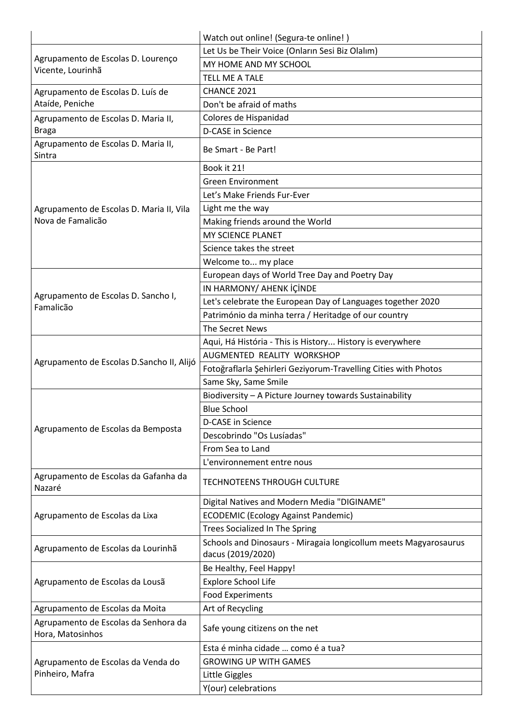|                                                                                              | Watch out online! (Segura-te online!)                                                 |
|----------------------------------------------------------------------------------------------|---------------------------------------------------------------------------------------|
| Agrupamento de Escolas D. Lourenço<br>Vicente, Lourinhã<br>Agrupamento de Escolas D. Luís de | Let Us be Their Voice (Onların Sesi Biz Olalım)                                       |
|                                                                                              | MY HOME AND MY SCHOOL                                                                 |
|                                                                                              | <b>TELL ME A TALE</b>                                                                 |
|                                                                                              | CHANCE 2021                                                                           |
| Ataíde, Peniche                                                                              | Don't be afraid of maths                                                              |
| Agrupamento de Escolas D. Maria II,                                                          | Colores de Hispanidad                                                                 |
| <b>Braga</b>                                                                                 | D-CASE in Science                                                                     |
| Agrupamento de Escolas D. Maria II,<br>Sintra                                                | Be Smart - Be Part!                                                                   |
|                                                                                              | Book it 21!                                                                           |
|                                                                                              | <b>Green Environment</b>                                                              |
|                                                                                              | Let's Make Friends Fur-Ever                                                           |
| Agrupamento de Escolas D. Maria II, Vila                                                     | Light me the way                                                                      |
| Nova de Famalicão                                                                            | Making friends around the World                                                       |
|                                                                                              | MY SCIENCE PLANET                                                                     |
|                                                                                              | Science takes the street                                                              |
|                                                                                              | Welcome to my place                                                                   |
|                                                                                              | European days of World Tree Day and Poetry Day                                        |
|                                                                                              | IN HARMONY/ AHENK İÇİNDE                                                              |
| Agrupamento de Escolas D. Sancho I,                                                          | Let's celebrate the European Day of Languages together 2020                           |
| Famalicão                                                                                    | Património da minha terra / Heritadge of our country                                  |
|                                                                                              | The Secret News                                                                       |
|                                                                                              | Aqui, Há História - This is History History is everywhere                             |
|                                                                                              | AUGMENTED REALITY WORKSHOP                                                            |
| Agrupamento de Escolas D.Sancho II, Alijó                                                    | Fotoğraflarla Şehirleri Geziyorum-Travelling Cities with Photos                       |
|                                                                                              | Same Sky, Same Smile                                                                  |
|                                                                                              | Biodiversity - A Picture Journey towards Sustainability                               |
|                                                                                              | <b>Blue School</b>                                                                    |
|                                                                                              | D-CASE in Science                                                                     |
| Agrupamento de Escolas da Bemposta                                                           | Descobrindo "Os Lusíadas"                                                             |
|                                                                                              | From Sea to Land                                                                      |
|                                                                                              | L'environnement entre nous                                                            |
| Agrupamento de Escolas da Gafanha da                                                         |                                                                                       |
| Nazaré                                                                                       | <b>TECHNOTEENS THROUGH CULTURE</b>                                                    |
| Agrupamento de Escolas da Lixa                                                               | Digital Natives and Modern Media "DIGINAME"                                           |
|                                                                                              | <b>ECODEMIC (Ecology Against Pandemic)</b>                                            |
|                                                                                              | Trees Socialized In The Spring                                                        |
| Agrupamento de Escolas da Lourinhã                                                           | Schools and Dinosaurs - Miragaia longicollum meets Magyarosaurus<br>dacus (2019/2020) |
| Agrupamento de Escolas da Lousã                                                              | Be Healthy, Feel Happy!                                                               |
|                                                                                              | <b>Explore School Life</b>                                                            |
|                                                                                              | <b>Food Experiments</b>                                                               |
| Agrupamento de Escolas da Moita                                                              | Art of Recycling                                                                      |
| Agrupamento de Escolas da Senhora da<br>Hora, Matosinhos                                     | Safe young citizens on the net                                                        |
| Agrupamento de Escolas da Venda do<br>Pinheiro, Mafra                                        | Esta é minha cidade  como é a tua?                                                    |
|                                                                                              | <b>GROWING UP WITH GAMES</b>                                                          |
|                                                                                              | Little Giggles                                                                        |
|                                                                                              | Y(our) celebrations                                                                   |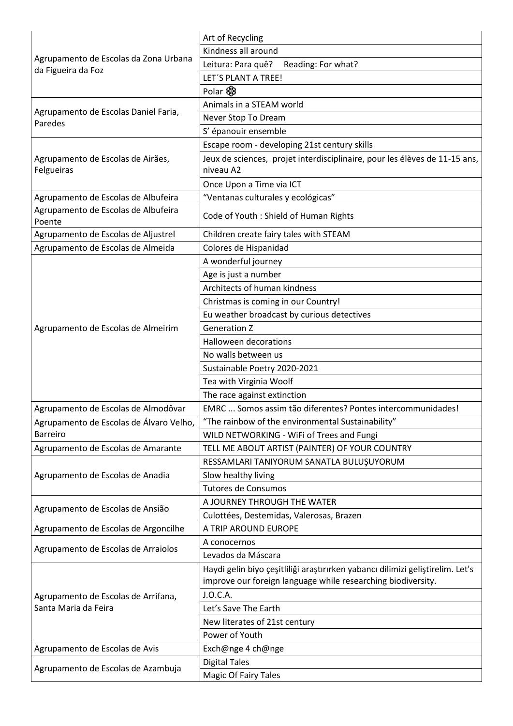| Agrupamento de Escolas da Zona Urbana<br>da Figueira da Foz | Art of Recycling                                                               |
|-------------------------------------------------------------|--------------------------------------------------------------------------------|
|                                                             | Kindness all around                                                            |
|                                                             | Leitura: Para quê?<br>Reading: For what?                                       |
|                                                             | LET'S PLANT A TREE!                                                            |
|                                                             | Polar &                                                                        |
|                                                             | Animals in a STEAM world                                                       |
| Agrupamento de Escolas Daniel Faria,                        | Never Stop To Dream                                                            |
| Paredes                                                     | S' épanouir ensemble                                                           |
|                                                             | Escape room - developing 21st century skills                                   |
| Agrupamento de Escolas de Airães,                           | Jeux de sciences, projet interdisciplinaire, pour les élèves de 11-15 ans,     |
| Felgueiras                                                  | niveau A2                                                                      |
|                                                             | Once Upon a Time via ICT                                                       |
| Agrupamento de Escolas de Albufeira                         | "Ventanas culturales y ecológicas"                                             |
| Agrupamento de Escolas de Albufeira                         |                                                                                |
| Poente                                                      | Code of Youth : Shield of Human Rights                                         |
| Agrupamento de Escolas de Aljustrel                         | Children create fairy tales with STEAM                                         |
| Agrupamento de Escolas de Almeida                           | Colores de Hispanidad                                                          |
|                                                             | A wonderful journey                                                            |
|                                                             | Age is just a number                                                           |
|                                                             | Architects of human kindness                                                   |
|                                                             | Christmas is coming in our Country!                                            |
|                                                             | Eu weather broadcast by curious detectives                                     |
| Agrupamento de Escolas de Almeirim                          | <b>Generation Z</b>                                                            |
|                                                             | Halloween decorations                                                          |
|                                                             | No walls between us                                                            |
|                                                             | Sustainable Poetry 2020-2021                                                   |
|                                                             | Tea with Virginia Woolf                                                        |
|                                                             | The race against extinction                                                    |
| Agrupamento de Escolas de Almodôvar                         | EMRC  Somos assim tão diferentes? Pontes intercommunidades!                    |
| Agrupamento de Escolas de Álvaro Velho,                     | "The rainbow of the environmental Sustainability"                              |
| <b>Barreiro</b>                                             | WILD NETWORKING - WiFi of Trees and Fungi                                      |
| Agrupamento de Escolas de Amarante                          | TELL ME ABOUT ARTIST (PAINTER) OF YOUR COUNTRY                                 |
|                                                             | RESSAMLARI TANIYORUM SANATLA BULUŞUYORUM                                       |
| Agrupamento de Escolas de Anadia                            | Slow healthy living                                                            |
|                                                             | <b>Tutores de Consumos</b>                                                     |
|                                                             | A JOURNEY THROUGH THE WATER                                                    |
| Agrupamento de Escolas de Ansião                            | Culottées, Destemidas, Valerosas, Brazen                                       |
| Agrupamento de Escolas de Argoncilhe                        | A TRIP AROUND EUROPE                                                           |
|                                                             | A conocernos                                                                   |
| Agrupamento de Escolas de Arraiolos                         | Levados da Máscara                                                             |
| Agrupamento de Escolas de Arrifana,<br>Santa Maria da Feira | Haydi gelin biyo çeşitliliği araştırırken yabancı dilimizi geliştirelim. Let's |
|                                                             | improve our foreign language while researching biodiversity.                   |
|                                                             | J.O.C.A.                                                                       |
|                                                             | Let's Save The Earth                                                           |
|                                                             | New literates of 21st century                                                  |
|                                                             | Power of Youth                                                                 |
| Agrupamento de Escolas de Avis                              | Exch@nge 4 ch@nge                                                              |
| Agrupamento de Escolas de Azambuja                          | <b>Digital Tales</b>                                                           |
|                                                             | <b>Magic Of Fairy Tales</b>                                                    |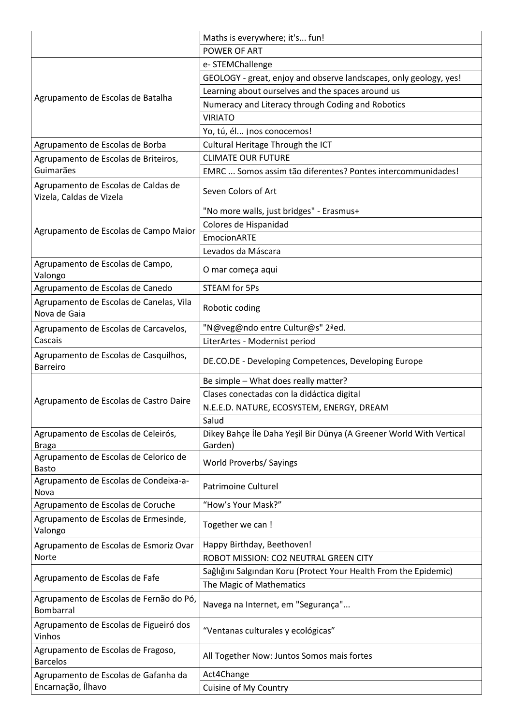|                                                                 | Maths is everywhere; it's fun!                                                 |
|-----------------------------------------------------------------|--------------------------------------------------------------------------------|
|                                                                 | POWER OF ART                                                                   |
| Agrupamento de Escolas de Batalha                               | e- STEMChallenge                                                               |
|                                                                 | GEOLOGY - great, enjoy and observe landscapes, only geology, yes!              |
|                                                                 | Learning about ourselves and the spaces around us                              |
|                                                                 | Numeracy and Literacy through Coding and Robotics                              |
|                                                                 | <b>VIRIATO</b>                                                                 |
|                                                                 | Yo, tú, él jnos conocemos!                                                     |
| Agrupamento de Escolas de Borba                                 | Cultural Heritage Through the ICT                                              |
| Agrupamento de Escolas de Briteiros,                            | <b>CLIMATE OUR FUTURE</b>                                                      |
| Guimarães                                                       | EMRC  Somos assim tão diferentes? Pontes intercommunidades!                    |
| Agrupamento de Escolas de Caldas de<br>Vizela, Caldas de Vizela | Seven Colors of Art                                                            |
|                                                                 | "No more walls, just bridges" - Erasmus+                                       |
| Agrupamento de Escolas de Campo Maior                           | Colores de Hispanidad                                                          |
|                                                                 | <b>EmocionARTE</b>                                                             |
|                                                                 | Levados da Máscara                                                             |
| Agrupamento de Escolas de Campo,<br>Valongo                     | O mar começa aqui                                                              |
| Agrupamento de Escolas de Canedo                                | <b>STEAM for 5Ps</b>                                                           |
| Agrupamento de Escolas de Canelas, Vila<br>Nova de Gaia         | Robotic coding                                                                 |
| Agrupamento de Escolas de Carcavelos,                           | "N@veg@ndo entre Cultur@s" 2ªed.                                               |
| Cascais                                                         | LiterArtes - Modernist period                                                  |
| Agrupamento de Escolas de Casquilhos,<br><b>Barreiro</b>        | DE.CO.DE - Developing Competences, Developing Europe                           |
|                                                                 | Be simple - What does really matter?                                           |
| Agrupamento de Escolas de Castro Daire                          | Clases conectadas con la didáctica digital                                     |
|                                                                 | N.E.E.D. NATURE, ECOSYSTEM, ENERGY, DREAM                                      |
|                                                                 | Salud                                                                          |
| Agrupamento de Escolas de Celeirós,<br><b>Braga</b>             | Dikey Bahçe İle Daha Yeşil Bir Dünya (A Greener World With Vertical<br>Garden) |
| Agrupamento de Escolas de Celorico de<br><b>Basto</b>           | World Proverbs/ Sayings                                                        |
| Agrupamento de Escolas de Condeixa-a-<br>Nova                   | <b>Patrimoine Culturel</b>                                                     |
| Agrupamento de Escolas de Coruche                               | "How's Your Mask?"                                                             |
| Agrupamento de Escolas de Ermesinde,<br>Valongo                 | Together we can !                                                              |
| Agrupamento de Escolas de Esmoriz Ovar                          | Happy Birthday, Beethoven!                                                     |
| Norte                                                           | ROBOT MISSION: CO2 NEUTRAL GREEN CITY                                          |
| Agrupamento de Escolas de Fafe                                  | Sağlığını Salgından Koru (Protect Your Health From the Epidemic)               |
|                                                                 | The Magic of Mathematics                                                       |
| Agrupamento de Escolas de Fernão do Pó,<br><b>Bombarral</b>     | Navega na Internet, em "Segurança"                                             |
| Agrupamento de Escolas de Figueiró dos<br>Vinhos                | "Ventanas culturales y ecológicas"                                             |
| Agrupamento de Escolas de Fragoso,<br><b>Barcelos</b>           | All Together Now: Juntos Somos mais fortes                                     |
| Agrupamento de Escolas de Gafanha da                            | Act4Change                                                                     |
| Encarnação, Ílhavo                                              | Cuisine of My Country                                                          |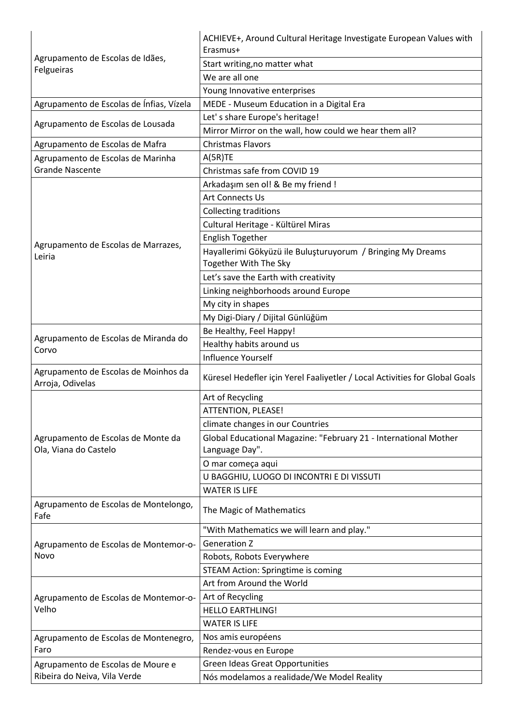| Agrupamento de Escolas de Idães,<br>Felgueiras                                                                                       | ACHIEVE+, Around Cultural Heritage Investigate European Values with<br>Erasmus+      |
|--------------------------------------------------------------------------------------------------------------------------------------|--------------------------------------------------------------------------------------|
|                                                                                                                                      | Start writing, no matter what                                                        |
|                                                                                                                                      | We are all one                                                                       |
|                                                                                                                                      |                                                                                      |
|                                                                                                                                      | Young Innovative enterprises                                                         |
| Agrupamento de Escolas de Ínfias, Vízela                                                                                             | MEDE - Museum Education in a Digital Era                                             |
| Agrupamento de Escolas de Lousada                                                                                                    | Let's share Europe's heritage!                                                       |
|                                                                                                                                      | Mirror Mirror on the wall, how could we hear them all?                               |
| Agrupamento de Escolas de Mafra                                                                                                      | <b>Christmas Flavors</b>                                                             |
| Agrupamento de Escolas de Marinha                                                                                                    | A(5R)TE                                                                              |
| <b>Grande Nascente</b>                                                                                                               | Christmas safe from COVID 19                                                         |
|                                                                                                                                      | Arkadaşım sen ol! & Be my friend !                                                   |
|                                                                                                                                      | <b>Art Connects Us</b>                                                               |
|                                                                                                                                      | <b>Collecting traditions</b>                                                         |
|                                                                                                                                      | Cultural Heritage - Kültürel Miras                                                   |
| Agrupamento de Escolas de Marrazes,                                                                                                  | <b>English Together</b>                                                              |
| Leiria                                                                                                                               | Hayallerimi Gökyüzü ile Buluşturuyorum / Bringing My Dreams<br>Together With The Sky |
|                                                                                                                                      | Let's save the Earth with creativity                                                 |
|                                                                                                                                      | Linking neighborhoods around Europe                                                  |
|                                                                                                                                      | My city in shapes                                                                    |
|                                                                                                                                      | My Digi-Diary / Dijital Günlüğüm                                                     |
|                                                                                                                                      | Be Healthy, Feel Happy!                                                              |
| Agrupamento de Escolas de Miranda do<br>Corvo                                                                                        | Healthy habits around us                                                             |
|                                                                                                                                      | <b>Influence Yourself</b>                                                            |
| Agrupamento de Escolas de Moinhos da<br>Arroja, Odivelas                                                                             | Küresel Hedefler için Yerel Faaliyetler / Local Activities for Global Goals          |
|                                                                                                                                      | Art of Recycling                                                                     |
|                                                                                                                                      | ATTENTION, PLEASE!                                                                   |
|                                                                                                                                      | climate changes in our Countries                                                     |
| Agrupamento de Escolas de Monte da<br>Ola, Viana do Castelo                                                                          | Global Educational Magazine: "February 21 - International Mother<br>Language Day".   |
|                                                                                                                                      | O mar começa aqui                                                                    |
|                                                                                                                                      | U BAGGHIU, LUOGO DI INCONTRI E DI VISSUTI                                            |
|                                                                                                                                      | <b>WATER IS LIFE</b>                                                                 |
| Agrupamento de Escolas de Montelongo,<br>Fafe                                                                                        | The Magic of Mathematics                                                             |
|                                                                                                                                      | "With Mathematics we will learn and play."                                           |
| Agrupamento de Escolas de Montemor-o-                                                                                                | <b>Generation Z</b>                                                                  |
| Novo                                                                                                                                 | Robots, Robots Everywhere                                                            |
|                                                                                                                                      | <b>STEAM Action: Springtime is coming</b>                                            |
| Agrupamento de Escolas de Montemor-o-<br>Velho<br>Agrupamento de Escolas de Montenegro,<br>Faro<br>Agrupamento de Escolas de Moure e | Art from Around the World                                                            |
|                                                                                                                                      | Art of Recycling                                                                     |
|                                                                                                                                      | <b>HELLO EARTHLING!</b>                                                              |
|                                                                                                                                      | <b>WATER IS LIFE</b>                                                                 |
|                                                                                                                                      | Nos amis européens                                                                   |
|                                                                                                                                      | Rendez-vous en Europe                                                                |
|                                                                                                                                      | <b>Green Ideas Great Opportunities</b>                                               |
| Ribeira do Neiva, Vila Verde                                                                                                         | Nós modelamos a realidade/We Model Reality                                           |
|                                                                                                                                      |                                                                                      |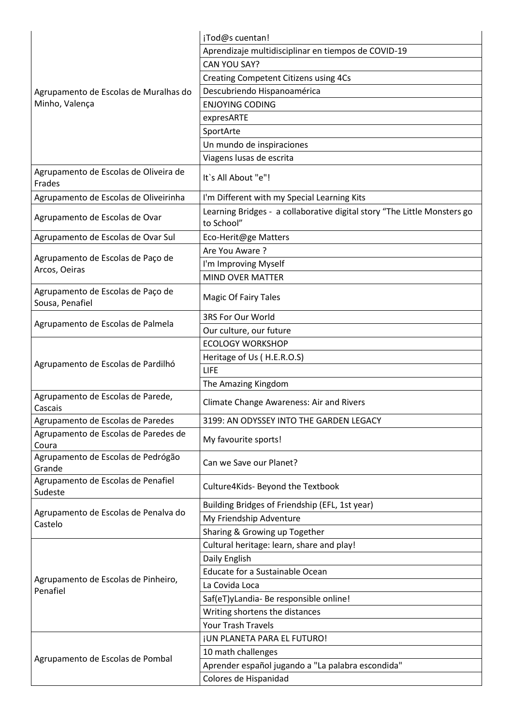|                                                      | ¡Tod@s cuentan!                                                                        |
|------------------------------------------------------|----------------------------------------------------------------------------------------|
|                                                      | Aprendizaje multidisciplinar en tiempos de COVID-19                                    |
|                                                      | CAN YOU SAY?                                                                           |
|                                                      | Creating Competent Citizens using 4Cs                                                  |
| Agrupamento de Escolas de Muralhas do                | Descubriendo Hispanoamérica                                                            |
| Minho, Valença                                       | <b>ENJOYING CODING</b>                                                                 |
|                                                      | expresARTE                                                                             |
|                                                      | SportArte                                                                              |
|                                                      | Un mundo de inspiraciones                                                              |
|                                                      | Viagens lusas de escrita                                                               |
| Agrupamento de Escolas de Oliveira de<br>Frades      | It's All About "e"!                                                                    |
| Agrupamento de Escolas de Oliveirinha                | I'm Different with my Special Learning Kits                                            |
| Agrupamento de Escolas de Ovar                       | Learning Bridges - a collaborative digital story "The Little Monsters go<br>to School" |
| Agrupamento de Escolas de Ovar Sul                   | Eco-Herit@ge Matters                                                                   |
|                                                      | Are You Aware ?                                                                        |
| Agrupamento de Escolas de Paço de                    | I'm Improving Myself                                                                   |
| Arcos, Oeiras                                        | <b>MIND OVER MATTER</b>                                                                |
| Agrupamento de Escolas de Paço de<br>Sousa, Penafiel | <b>Magic Of Fairy Tales</b>                                                            |
|                                                      | 3RS For Our World                                                                      |
| Agrupamento de Escolas de Palmela                    | Our culture, our future                                                                |
|                                                      | <b>ECOLOGY WORKSHOP</b>                                                                |
|                                                      | Heritage of Us (H.E.R.O.S)                                                             |
| Agrupamento de Escolas de Pardilhó                   | LIFE                                                                                   |
|                                                      | The Amazing Kingdom                                                                    |
| Agrupamento de Escolas de Parede,<br>Cascais         | <b>Climate Change Awareness: Air and Rivers</b>                                        |
| Agrupamento de Escolas de Paredes                    | 3199: AN ODYSSEY INTO THE GARDEN LEGACY                                                |
| Agrupamento de Escolas de Paredes de<br>Coura        | My favourite sports!                                                                   |
| Agrupamento de Escolas de Pedrógão<br>Grande         | Can we Save our Planet?                                                                |
| Agrupamento de Escolas de Penafiel<br>Sudeste        | Culture4Kids- Beyond the Textbook                                                      |
|                                                      | Building Bridges of Friendship (EFL, 1st year)                                         |
| Agrupamento de Escolas de Penalva do<br>Castelo      | My Friendship Adventure                                                                |
|                                                      | Sharing & Growing up Together                                                          |
|                                                      | Cultural heritage: learn, share and play!                                              |
|                                                      | Daily English                                                                          |
|                                                      | Educate for a Sustainable Ocean                                                        |
| Agrupamento de Escolas de Pinheiro,<br>Penafiel      | La Covida Loca                                                                         |
|                                                      | Saf(eT)yLandia- Be responsible online!                                                 |
|                                                      | Writing shortens the distances                                                         |
|                                                      | <b>Your Trash Travels</b>                                                              |
|                                                      | <b>JUN PLANETA PARA EL FUTURO!</b>                                                     |
| Agrupamento de Escolas de Pombal                     | 10 math challenges                                                                     |
|                                                      | Aprender español jugando a "La palabra escondida"                                      |
|                                                      | Colores de Hispanidad                                                                  |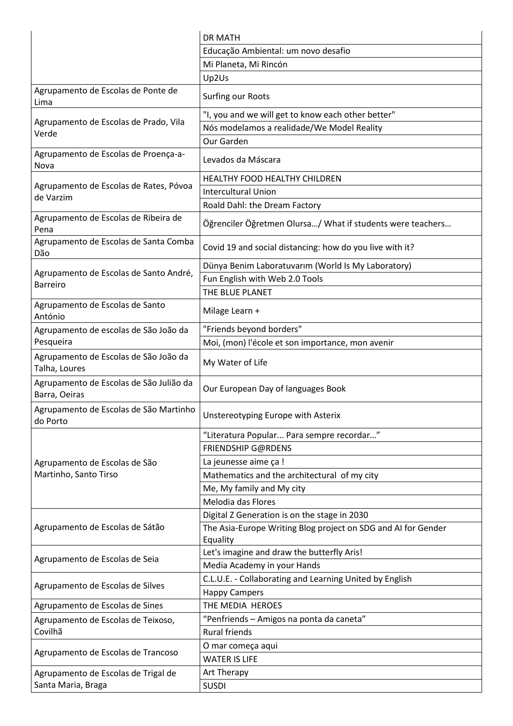|                                                          | <b>DR MATH</b>                                                |
|----------------------------------------------------------|---------------------------------------------------------------|
|                                                          | Educação Ambiental: um novo desafio                           |
|                                                          | Mi Planeta, Mi Rincón                                         |
|                                                          | Up2Us                                                         |
| Agrupamento de Escolas de Ponte de<br>Lima               | Surfing our Roots                                             |
|                                                          | "I, you and we will get to know each other better"            |
| Agrupamento de Escolas de Prado, Vila<br>Verde           | Nós modelamos a realidade/We Model Reality                    |
|                                                          | Our Garden                                                    |
| Agrupamento de Escolas de Proença-a-<br>Nova             | Levados da Máscara                                            |
|                                                          | HEALTHY FOOD HEALTHY CHILDREN                                 |
| Agrupamento de Escolas de Rates, Póvoa<br>de Varzim      | <b>Intercultural Union</b>                                    |
|                                                          | Roald Dahl: the Dream Factory                                 |
| Agrupamento de Escolas de Ribeira de<br>Pena             | Öğrenciler Öğretmen Olursa/ What if students were teachers    |
| Agrupamento de Escolas de Santa Comba<br>Dão             | Covid 19 and social distancing: how do you live with it?      |
| Agrupamento de Escolas de Santo André,                   | Dünya Benim Laboratuvarım (World Is My Laboratory)            |
| <b>Barreiro</b>                                          | Fun English with Web 2.0 Tools                                |
|                                                          | THE BLUE PLANET                                               |
| Agrupamento de Escolas de Santo<br>António               | Milage Learn +                                                |
| Agrupamento de escolas de São João da                    | "Friends beyond borders"                                      |
| Pesqueira                                                | Moi, (mon) l'école et son importance, mon avenir              |
| Agrupamento de Escolas de São João da<br>Talha, Loures   | My Water of Life                                              |
| Agrupamento de Escolas de São Julião da<br>Barra, Oeiras | Our European Day of languages Book                            |
| Agrupamento de Escolas de São Martinho<br>do Porto       | Unstereotyping Europe with Asterix                            |
|                                                          | "Literatura Popular Para sempre recordar"                     |
|                                                          | <b>FRIENDSHIP G@RDENS</b>                                     |
| Agrupamento de Escolas de São                            | La jeunesse aime ça !                                         |
| Martinho, Santo Tirso                                    | Mathematics and the architectural of my city                  |
|                                                          | Me, My family and My city                                     |
|                                                          | Melodia das Flores                                            |
|                                                          | Digital Z Generation is on the stage in 2030                  |
| Agrupamento de Escolas de Sátão                          | The Asia-Europe Writing Blog project on SDG and AI for Gender |
|                                                          | Equality                                                      |
|                                                          | Let's imagine and draw the butterfly Aris!                    |
| Agrupamento de Escolas de Seia                           | Media Academy in your Hands                                   |
|                                                          | C.L.U.E. - Collaborating and Learning United by English       |
| Agrupamento de Escolas de Silves                         | <b>Happy Campers</b>                                          |
| Agrupamento de Escolas de Sines                          | THE MEDIA HEROES                                              |
| Agrupamento de Escolas de Teixoso,                       | "Penfriends - Amigos na ponta da caneta"                      |
| Covilhã                                                  | <b>Rural friends</b>                                          |
| Agrupamento de Escolas de Trancoso                       | O mar começa aqui                                             |
|                                                          | <b>WATER IS LIFE</b>                                          |
| Agrupamento de Escolas de Trigal de                      | Art Therapy                                                   |
| Santa Maria, Braga                                       | <b>SUSDI</b>                                                  |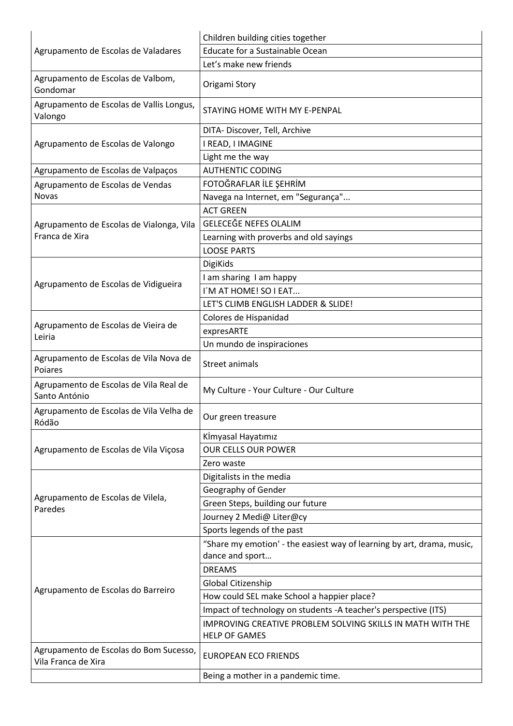| Agrupamento de Escolas de Valadares                           | Children building cities together                                                  |
|---------------------------------------------------------------|------------------------------------------------------------------------------------|
|                                                               | Educate for a Sustainable Ocean                                                    |
|                                                               | Let's make new friends                                                             |
| Agrupamento de Escolas de Valbom,<br>Gondomar                 | Origami Story                                                                      |
| Agrupamento de Escolas de Vallis Longus,<br>Valongo           | STAYING HOME WITH MY E-PENPAL                                                      |
|                                                               | DITA-Discover, Tell, Archive                                                       |
| Agrupamento de Escolas de Valongo                             | I READ, I IMAGINE                                                                  |
|                                                               | Light me the way                                                                   |
| Agrupamento de Escolas de Valpaços                            | <b>AUTHENTIC CODING</b>                                                            |
| Agrupamento de Escolas de Vendas                              | FOTOĞRAFLAR İLE ŞEHRİM                                                             |
| Novas                                                         | Navega na Internet, em "Segurança"                                                 |
|                                                               | <b>ACT GREEN</b>                                                                   |
| Agrupamento de Escolas de Vialonga, Vila                      | <b>GELECEĞE NEFES OLALIM</b>                                                       |
| Franca de Xira                                                | Learning with proverbs and old sayings                                             |
|                                                               | <b>LOOSE PARTS</b>                                                                 |
|                                                               | <b>DigiKids</b>                                                                    |
| Agrupamento de Escolas de Vidigueira                          | I am sharing I am happy                                                            |
|                                                               | I'M AT HOME! SO I EAT                                                              |
|                                                               | LET'S CLIMB ENGLISH LADDER & SLIDE!                                                |
|                                                               | Colores de Hispanidad                                                              |
| Agrupamento de Escolas de Vieira de<br>Leiria                 | expresARTE                                                                         |
|                                                               | Un mundo de inspiraciones                                                          |
| Agrupamento de Escolas de Vila Nova de<br>Poiares             | <b>Street animals</b>                                                              |
| Agrupamento de Escolas de Vila Real de<br>Santo António       | My Culture - Your Culture - Our Culture                                            |
| Agrupamento de Escolas de Vila Velha de<br>Ródão              | Our green treasure                                                                 |
|                                                               | Kİmyasal Hayatımız                                                                 |
| Agrupamento de Escolas de Vila Viçosa                         | <b>OUR CELLS OUR POWER</b>                                                         |
|                                                               | Zero waste                                                                         |
|                                                               | Digitalists in the media                                                           |
|                                                               | Geography of Gender                                                                |
| Agrupamento de Escolas de Vilela,<br>Paredes                  | Green Steps, building our future                                                   |
|                                                               | Journey 2 Medi@ Liter@cy                                                           |
|                                                               | Sports legends of the past                                                         |
|                                                               | "Share my emotion' - the easiest way of learning by art, drama, music,             |
| Agrupamento de Escolas do Barreiro                            | dance and sport                                                                    |
|                                                               | <b>DREAMS</b>                                                                      |
|                                                               | Global Citizenship                                                                 |
|                                                               | How could SEL make School a happier place?                                         |
|                                                               | Impact of technology on students -A teacher's perspective (ITS)                    |
|                                                               | IMPROVING CREATIVE PROBLEM SOLVING SKILLS IN MATH WITH THE<br><b>HELP OF GAMES</b> |
| Agrupamento de Escolas do Bom Sucesso,<br>Vila Franca de Xira | <b>EUROPEAN ECO FRIENDS</b>                                                        |
|                                                               | Being a mother in a pandemic time.                                                 |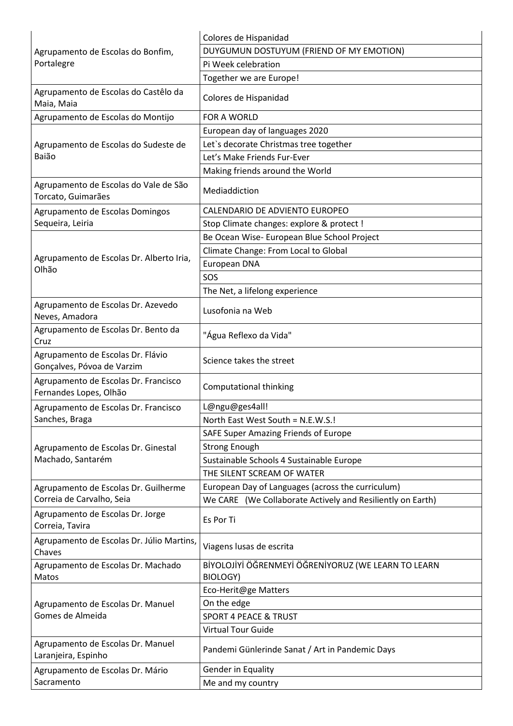| Agrupamento de Escolas do Bonfim,<br>Portalegre                 | Colores de Hispanidad                                           |
|-----------------------------------------------------------------|-----------------------------------------------------------------|
|                                                                 | DUYGUMUN DOSTUYUM (FRIEND OF MY EMOTION)                        |
|                                                                 | Pi Week celebration                                             |
|                                                                 | Together we are Europe!                                         |
| Agrupamento de Escolas do Castêlo da<br>Maia, Maia              | Colores de Hispanidad                                           |
| Agrupamento de Escolas do Montijo                               | FOR A WORLD                                                     |
|                                                                 | European day of languages 2020                                  |
| Agrupamento de Escolas do Sudeste de                            | Let's decorate Christmas tree together                          |
| Baião                                                           | Let's Make Friends Fur-Ever                                     |
|                                                                 | Making friends around the World                                 |
| Agrupamento de Escolas do Vale de São<br>Torcato, Guimarães     | Mediaddiction                                                   |
| Agrupamento de Escolas Domingos                                 | CALENDARIO DE ADVIENTO EUROPEO                                  |
| Sequeira, Leiria                                                | Stop Climate changes: explore & protect !                       |
|                                                                 | Be Ocean Wise- European Blue School Project                     |
| Agrupamento de Escolas Dr. Alberto Iria,                        | Climate Change: From Local to Global                            |
| Olhão                                                           | European DNA                                                    |
|                                                                 | SOS                                                             |
|                                                                 | The Net, a lifelong experience                                  |
| Agrupamento de Escolas Dr. Azevedo<br>Neves, Amadora            | Lusofonia na Web                                                |
| Agrupamento de Escolas Dr. Bento da<br>Cruz                     | "Água Reflexo da Vida"                                          |
| Agrupamento de Escolas Dr. Flávio<br>Gonçalves, Póvoa de Varzim | Science takes the street                                        |
| Agrupamento de Escolas Dr. Francisco<br>Fernandes Lopes, Olhão  | Computational thinking                                          |
| Agrupamento de Escolas Dr. Francisco                            | L@ngu@ges4all!                                                  |
| Sanches, Braga                                                  | North East West South = N.E.W.S.!                               |
|                                                                 | SAFE Super Amazing Friends of Europe                            |
| Agrupamento de Escolas Dr. Ginestal                             | <b>Strong Enough</b>                                            |
| Machado, Santarém                                               | Sustainable Schools 4 Sustainable Europe                        |
|                                                                 | THE SILENT SCREAM OF WATER                                      |
| Agrupamento de Escolas Dr. Guilherme                            | European Day of Languages (across the curriculum)               |
| Correia de Carvalho, Seia                                       | We CARE (We Collaborate Actively and Resiliently on Earth)      |
| Agrupamento de Escolas Dr. Jorge<br>Correia, Tavira             | Es Por Ti                                                       |
| Agrupamento de Escolas Dr. Júlio Martins,<br>Chaves             | Viagens lusas de escrita                                        |
| Agrupamento de Escolas Dr. Machado<br>Matos                     | BİYOLOJİYİ ÖĞRENMEYİ ÖĞRENİYORUZ (WE LEARN TO LEARN<br>BIOLOGY) |
|                                                                 | Eco-Herit@ge Matters                                            |
| Agrupamento de Escolas Dr. Manuel<br>Gomes de Almeida           | On the edge                                                     |
|                                                                 | <b>SPORT 4 PEACE &amp; TRUST</b>                                |
|                                                                 | <b>Virtual Tour Guide</b>                                       |
| Agrupamento de Escolas Dr. Manuel<br>Laranjeira, Espinho        | Pandemi Günlerinde Sanat / Art in Pandemic Days                 |
| Agrupamento de Escolas Dr. Mário                                | Gender in Equality                                              |
| Sacramento                                                      | Me and my country                                               |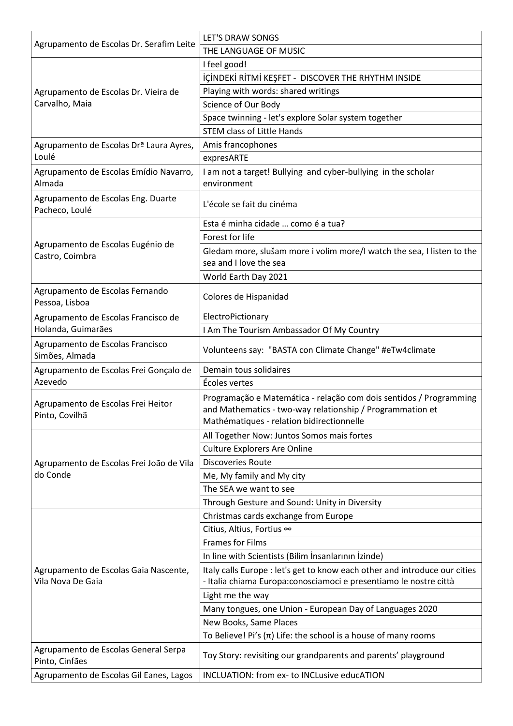| Agrupamento de Escolas Dr. Serafim Leite                   | LET'S DRAW SONGS                                                                                                                                                             |
|------------------------------------------------------------|------------------------------------------------------------------------------------------------------------------------------------------------------------------------------|
|                                                            | THE LANGUAGE OF MUSIC                                                                                                                                                        |
| Agrupamento de Escolas Dr. Vieira de<br>Carvalho, Maia     | I feel good!                                                                                                                                                                 |
|                                                            | İÇİNDEKİ RİTMİ KEŞFET - DISCOVER THE RHYTHM INSIDE                                                                                                                           |
|                                                            | Playing with words: shared writings                                                                                                                                          |
|                                                            | Science of Our Body                                                                                                                                                          |
|                                                            | Space twinning - let's explore Solar system together                                                                                                                         |
|                                                            | <b>STEM class of Little Hands</b>                                                                                                                                            |
| Agrupamento de Escolas Drª Laura Ayres,                    | Amis francophones                                                                                                                                                            |
| Loulé                                                      | expresARTE                                                                                                                                                                   |
| Agrupamento de Escolas Emídio Navarro,                     | I am not a target! Bullying and cyber-bullying in the scholar                                                                                                                |
| Almada                                                     | environment                                                                                                                                                                  |
| Agrupamento de Escolas Eng. Duarte<br>Pacheco, Loulé       | L'école se fait du cinéma                                                                                                                                                    |
|                                                            | Esta é minha cidade  como é a tua?                                                                                                                                           |
|                                                            | Forest for life                                                                                                                                                              |
| Agrupamento de Escolas Eugénio de<br>Castro, Coimbra       | Gledam more, slušam more i volim more/I watch the sea, I listen to the<br>sea and I love the sea                                                                             |
|                                                            | World Earth Day 2021                                                                                                                                                         |
| Agrupamento de Escolas Fernando<br>Pessoa, Lisboa          | Colores de Hispanidad                                                                                                                                                        |
| Agrupamento de Escolas Francisco de                        | ElectroPictionary                                                                                                                                                            |
| Holanda, Guimarães                                         | I Am The Tourism Ambassador Of My Country                                                                                                                                    |
| Agrupamento de Escolas Francisco<br>Simões, Almada         | Volunteens say: "BASTA con Climate Change" #eTw4climate                                                                                                                      |
| Agrupamento de Escolas Frei Gonçalo de                     | Demain tous solidaires                                                                                                                                                       |
| Azevedo                                                    | Écoles vertes                                                                                                                                                                |
| Agrupamento de Escolas Frei Heitor<br>Pinto, Covilhã       | Programação e Matemática - relação com dois sentidos / Programming<br>and Mathematics - two-way relationship / Programmation et<br>Mathématiques - relation bidirectionnelle |
|                                                            | All Together Now: Juntos Somos mais fortes                                                                                                                                   |
|                                                            | <b>Culture Explorers Are Online</b>                                                                                                                                          |
| Agrupamento de Escolas Frei João de Vila                   | <b>Discoveries Route</b>                                                                                                                                                     |
| do Conde                                                   | Me, My family and My city                                                                                                                                                    |
|                                                            | The SEA we want to see                                                                                                                                                       |
|                                                            | Through Gesture and Sound: Unity in Diversity                                                                                                                                |
|                                                            | Christmas cards exchange from Europe                                                                                                                                         |
|                                                            | Citius, Altius, Fortius ∞                                                                                                                                                    |
|                                                            | <b>Frames for Films</b>                                                                                                                                                      |
| Agrupamento de Escolas Gaia Nascente,<br>Vila Nova De Gaia | In line with Scientists (Bilim Insanlarının İzinde)                                                                                                                          |
|                                                            | Italy calls Europe : let's get to know each other and introduce our cities                                                                                                   |
|                                                            | - Italia chiama Europa: conosciamoci e presentiamo le nostre città                                                                                                           |
|                                                            | Light me the way                                                                                                                                                             |
|                                                            | Many tongues, one Union - European Day of Languages 2020                                                                                                                     |
|                                                            | New Books, Same Places                                                                                                                                                       |
|                                                            | To Believe! Pi's $(\pi)$ Life: the school is a house of many rooms                                                                                                           |
| Agrupamento de Escolas General Serpa<br>Pinto, Cinfães     | Toy Story: revisiting our grandparents and parents' playground                                                                                                               |
| Agrupamento de Escolas Gil Eanes, Lagos                    | INCLUATION: from ex- to INCLusive educATION                                                                                                                                  |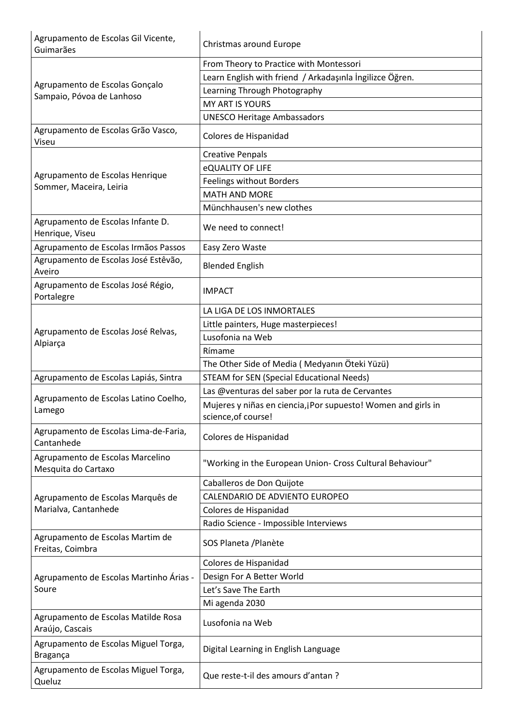| Agrupamento de Escolas Gil Vicente,<br>Guimarães            | Christmas around Europe                                                              |
|-------------------------------------------------------------|--------------------------------------------------------------------------------------|
| Agrupamento de Escolas Gonçalo<br>Sampaio, Póvoa de Lanhoso | From Theory to Practice with Montessori                                              |
|                                                             | Learn English with friend / Arkadaşınla İngilizce Öğren.                             |
|                                                             | Learning Through Photography                                                         |
|                                                             | <b>MY ART IS YOURS</b>                                                               |
|                                                             | <b>UNESCO Heritage Ambassadors</b>                                                   |
| Agrupamento de Escolas Grão Vasco,<br>Viseu                 | Colores de Hispanidad                                                                |
|                                                             | <b>Creative Penpals</b>                                                              |
|                                                             | eQUALITY OF LIFE                                                                     |
| Agrupamento de Escolas Henrique<br>Sommer, Maceira, Leiria  | <b>Feelings without Borders</b>                                                      |
|                                                             | <b>MATH AND MORE</b>                                                                 |
|                                                             | Münchhausen's new clothes                                                            |
| Agrupamento de Escolas Infante D.<br>Henrique, Viseu        | We need to connect!                                                                  |
| Agrupamento de Escolas Irmãos Passos                        | Easy Zero Waste                                                                      |
| Agrupamento de Escolas José Estêvão,<br>Aveiro              | <b>Blended English</b>                                                               |
| Agrupamento de Escolas José Régio,<br>Portalegre            | <b>IMPACT</b>                                                                        |
|                                                             | LA LIGA DE LOS INMORTALES                                                            |
|                                                             | Little painters, Huge masterpieces!                                                  |
| Agrupamento de Escolas José Relvas,<br>Alpiarça             | Lusofonia na Web                                                                     |
|                                                             | Rímame                                                                               |
|                                                             | The Other Side of Media (Medyanın Öteki Yüzü)                                        |
| Agrupamento de Escolas Lapiás, Sintra                       | <b>STEAM for SEN (Special Educational Needs)</b>                                     |
| Agrupamento de Escolas Latino Coelho,                       | Las @venturas del saber por la ruta de Cervantes                                     |
| Lamego                                                      | Mujeres y niñas en ciencia, jPor supuesto! Women and girls in<br>science, of course! |
| Agrupamento de Escolas Lima-de-Faria,<br>Cantanhede         | Colores de Hispanidad                                                                |
| Agrupamento de Escolas Marcelino<br>Mesquita do Cartaxo     | "Working in the European Union- Cross Cultural Behaviour"                            |
|                                                             | Caballeros de Don Quijote                                                            |
| Agrupamento de Escolas Marquês de<br>Marialva, Cantanhede   | CALENDARIO DE ADVIENTO EUROPEO                                                       |
|                                                             | Colores de Hispanidad                                                                |
|                                                             | Radio Science - Impossible Interviews                                                |
| Agrupamento de Escolas Martim de<br>Freitas, Coimbra        | SOS Planeta / Planète                                                                |
| Agrupamento de Escolas Martinho Árias -<br>Soure            | Colores de Hispanidad                                                                |
|                                                             | Design For A Better World                                                            |
|                                                             | Let's Save The Earth                                                                 |
|                                                             | Mi agenda 2030                                                                       |
| Agrupamento de Escolas Matilde Rosa<br>Araújo, Cascais      | Lusofonia na Web                                                                     |
| Agrupamento de Escolas Miguel Torga,<br>Bragança            | Digital Learning in English Language                                                 |
| Agrupamento de Escolas Miguel Torga,<br>Queluz              | Que reste-t-il des amours d'antan ?                                                  |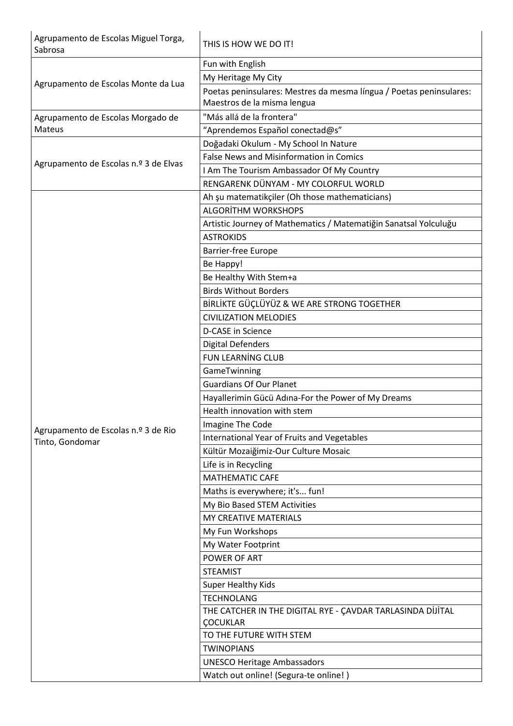| Agrupamento de Escolas Miguel Torga,<br>Sabrosa        | THIS IS HOW WE DO IT!                                                                              |
|--------------------------------------------------------|----------------------------------------------------------------------------------------------------|
| Agrupamento de Escolas Monte da Lua                    | Fun with English                                                                                   |
|                                                        | My Heritage My City                                                                                |
|                                                        | Poetas peninsulares: Mestres da mesma língua / Poetas peninsulares:<br>Maestros de la misma lengua |
| Agrupamento de Escolas Morgado de                      | "Más allá de la frontera"                                                                          |
| Mateus                                                 | "Aprendemos Español conectad@s"                                                                    |
| Agrupamento de Escolas n.º 3 de Elvas                  | Doğadaki Okulum - My School In Nature                                                              |
|                                                        | <b>False News and Misinformation in Comics</b>                                                     |
|                                                        | I Am The Tourism Ambassador Of My Country                                                          |
|                                                        | RENGARENK DÜNYAM - MY COLORFUL WORLD                                                               |
|                                                        | Ah şu matematikçiler (Oh those mathematicians)                                                     |
|                                                        | <b>ALGORITHM WORKSHOPS</b>                                                                         |
|                                                        | Artistic Journey of Mathematics / Matematiğin Sanatsal Yolculuğu                                   |
|                                                        | <b>ASTROKIDS</b>                                                                                   |
|                                                        | <b>Barrier-free Europe</b>                                                                         |
|                                                        | Be Happy!                                                                                          |
|                                                        | Be Healthy With Stem+a                                                                             |
|                                                        | <b>Birds Without Borders</b>                                                                       |
|                                                        | BİRLİKTE GÜÇLÜYÜZ & WE ARE STRONG TOGETHER                                                         |
|                                                        | <b>CIVILIZATION MELODIES</b>                                                                       |
|                                                        | D-CASE in Science                                                                                  |
|                                                        | <b>Digital Defenders</b>                                                                           |
|                                                        | <b>FUN LEARNING CLUB</b>                                                                           |
|                                                        | GameTwinning                                                                                       |
|                                                        | <b>Guardians Of Our Planet</b>                                                                     |
|                                                        | Hayallerimin Gücü Adına-For the Power of My Dreams                                                 |
|                                                        | Health innovation with stem                                                                        |
|                                                        | Imagine The Code                                                                                   |
| Agrupamento de Escolas n.º 3 de Rio<br>Tinto, Gondomar | International Year of Fruits and Vegetables                                                        |
|                                                        | Kültür Mozaiğimiz-Our Culture Mosaic                                                               |
|                                                        | Life is in Recycling                                                                               |
|                                                        | <b>MATHEMATIC CAFE</b>                                                                             |
|                                                        | Maths is everywhere; it's fun!                                                                     |
|                                                        | My Bio Based STEM Activities                                                                       |
|                                                        | MY CREATIVE MATERIALS                                                                              |
|                                                        | My Fun Workshops                                                                                   |
|                                                        | My Water Footprint                                                                                 |
|                                                        | POWER OF ART                                                                                       |
|                                                        | <b>STEAMIST</b>                                                                                    |
|                                                        | <b>Super Healthy Kids</b>                                                                          |
|                                                        | <b>TECHNOLANG</b>                                                                                  |
|                                                        | THE CATCHER IN THE DIGITAL RYE - ÇAVDAR TARLASINDA DİJİTAL                                         |
|                                                        | ÇOCUKLAR                                                                                           |
|                                                        | TO THE FUTURE WITH STEM                                                                            |
|                                                        | <b>TWINOPIANS</b>                                                                                  |
|                                                        | <b>UNESCO Heritage Ambassadors</b>                                                                 |
|                                                        | Watch out online! (Segura-te online!)                                                              |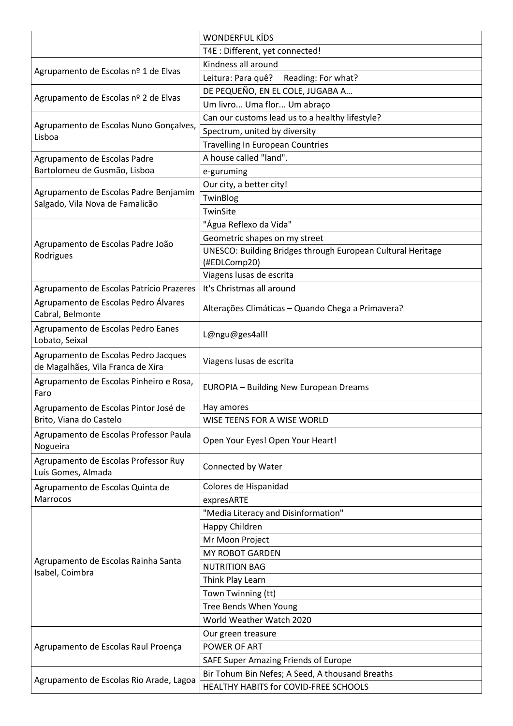|                                                                           | <b>WONDERFUL KİDS</b>                                       |
|---------------------------------------------------------------------------|-------------------------------------------------------------|
|                                                                           | T4E : Different, yet connected!                             |
| Agrupamento de Escolas nº 1 de Elvas                                      | Kindness all around                                         |
|                                                                           | Reading: For what?<br>Leitura: Para quê?                    |
|                                                                           | DE PEQUEÑO, EN EL COLE, JUGABA A                            |
| Agrupamento de Escolas nº 2 de Elvas                                      | Um livro Uma flor Um abraço                                 |
|                                                                           | Can our customs lead us to a healthy lifestyle?             |
| Agrupamento de Escolas Nuno Gonçalves,                                    | Spectrum, united by diversity                               |
| Lisboa                                                                    | <b>Travelling In European Countries</b>                     |
| Agrupamento de Escolas Padre                                              | A house called "land".                                      |
| Bartolomeu de Gusmão, Lisboa                                              | e-guruming                                                  |
|                                                                           | Our city, a better city!                                    |
| Agrupamento de Escolas Padre Benjamim                                     | TwinBlog                                                    |
| Salgado, Vila Nova de Famalicão                                           | TwinSite                                                    |
|                                                                           | "Água Reflexo da Vida"                                      |
| Agrupamento de Escolas Padre João                                         | Geometric shapes on my street                               |
| Rodrigues                                                                 | UNESCO: Building Bridges through European Cultural Heritage |
|                                                                           | (#EDLComp20)                                                |
|                                                                           | Viagens lusas de escrita                                    |
| Agrupamento de Escolas Patrício Prazeres                                  | It's Christmas all around                                   |
| Agrupamento de Escolas Pedro Álvares<br>Cabral, Belmonte                  | Alterações Climáticas - Quando Chega a Primavera?           |
| Agrupamento de Escolas Pedro Eanes<br>Lobato, Seixal                      | L@ngu@ges4all!                                              |
| Agrupamento de Escolas Pedro Jacques<br>de Magalhães, Vila Franca de Xira | Viagens lusas de escrita                                    |
| Agrupamento de Escolas Pinheiro e Rosa,<br>Faro                           | <b>EUROPIA - Building New European Dreams</b>               |
| Agrupamento de Escolas Pintor José de                                     | Hay amores                                                  |
| Brito, Viana do Castelo                                                   | WISE TEENS FOR A WISE WORLD                                 |
| Agrupamento de Escolas Professor Paula<br>Nogueira                        | Open Your Eyes! Open Your Heart!                            |
| Agrupamento de Escolas Professor Ruy<br>Luís Gomes, Almada                | Connected by Water                                          |
| Agrupamento de Escolas Quinta de                                          | Colores de Hispanidad                                       |
| Marrocos                                                                  | expresARTE                                                  |
|                                                                           | "Media Literacy and Disinformation"                         |
|                                                                           | Happy Children                                              |
|                                                                           | Mr Moon Project                                             |
| Agrupamento de Escolas Rainha Santa                                       | MY ROBOT GARDEN                                             |
|                                                                           | <b>NUTRITION BAG</b>                                        |
| Isabel, Coimbra                                                           | Think Play Learn                                            |
|                                                                           | Town Twinning (tt)                                          |
|                                                                           | Tree Bends When Young                                       |
|                                                                           | World Weather Watch 2020                                    |
|                                                                           | Our green treasure                                          |
| Agrupamento de Escolas Raul Proença                                       | POWER OF ART                                                |
|                                                                           | SAFE Super Amazing Friends of Europe                        |
| Agrupamento de Escolas Rio Arade, Lagoa                                   | Bir Tohum Bin Nefes; A Seed, A thousand Breaths             |
|                                                                           | HEALTHY HABITS for COVID-FREE SCHOOLS                       |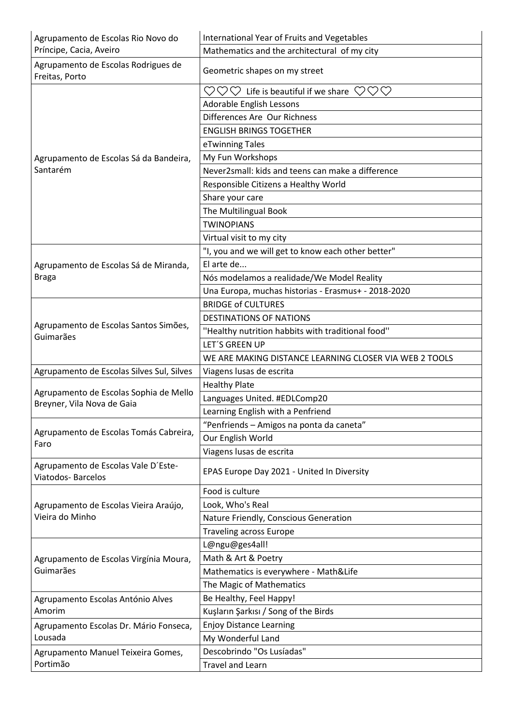| Agrupamento de Escolas Rio Novo do                                   | <b>International Year of Fruits and Vegetables</b>                    |
|----------------------------------------------------------------------|-----------------------------------------------------------------------|
| Príncipe, Cacia, Aveiro                                              | Mathematics and the architectural of my city                          |
| Agrupamento de Escolas Rodrigues de<br>Freitas, Porto                | Geometric shapes on my street                                         |
|                                                                      | VOV<br>$\heartsuit\heartsuit\heartsuit$ Life is beautiful if we share |
|                                                                      | <b>Adorable English Lessons</b>                                       |
|                                                                      | Differences Are Our Richness                                          |
|                                                                      | <b>ENGLISH BRINGS TOGETHER</b>                                        |
|                                                                      | eTwinning Tales                                                       |
| Agrupamento de Escolas Sá da Bandeira,<br>Santarém                   | My Fun Workshops                                                      |
|                                                                      | Never2small: kids and teens can make a difference                     |
|                                                                      | Responsible Citizens a Healthy World                                  |
|                                                                      | Share your care                                                       |
|                                                                      | The Multilingual Book                                                 |
|                                                                      | <b>TWINOPIANS</b>                                                     |
|                                                                      | Virtual visit to my city                                              |
|                                                                      | "I, you and we will get to know each other better"                    |
| Agrupamento de Escolas Sá de Miranda,                                | El arte de                                                            |
| <b>Braga</b>                                                         | Nós modelamos a realidade/We Model Reality                            |
|                                                                      | Una Europa, muchas historias - Erasmus+ - 2018-2020                   |
|                                                                      | <b>BRIDGE of CULTURES</b>                                             |
|                                                                      | <b>DESTINATIONS OF NATIONS</b>                                        |
| Agrupamento de Escolas Santos Simões,<br>Guimarães                   | "Healthy nutrition habbits with traditional food"                     |
|                                                                      | <b>LET'S GREEN UP</b>                                                 |
|                                                                      | WE ARE MAKING DISTANCE LEARNING CLOSER VIA WEB 2 TOOLS                |
| Agrupamento de Escolas Silves Sul, Silves                            | Viagens lusas de escrita                                              |
|                                                                      | <b>Healthy Plate</b>                                                  |
| Agrupamento de Escolas Sophia de Mello<br>Breyner, Vila Nova de Gaia | Languages United. #EDLComp20                                          |
|                                                                      | Learning English with a Penfriend                                     |
|                                                                      | "Penfriends - Amigos na ponta da caneta"                              |
| Agrupamento de Escolas Tomás Cabreira,<br>Faro                       | Our English World                                                     |
|                                                                      | Viagens lusas de escrita                                              |
| Agrupamento de Escolas Vale D'Este-<br>Viatodos-Barcelos             | EPAS Europe Day 2021 - United In Diversity                            |
| Agrupamento de Escolas Vieira Araújo,<br>Vieira do Minho             | Food is culture                                                       |
|                                                                      | Look, Who's Real                                                      |
|                                                                      | Nature Friendly, Conscious Generation                                 |
|                                                                      | <b>Traveling across Europe</b>                                        |
| Agrupamento de Escolas Virgínia Moura,                               | L@ngu@ges4all!                                                        |
|                                                                      | Math & Art & Poetry                                                   |
| Guimarães                                                            | Mathematics is everywhere - Math&Life                                 |
|                                                                      | The Magic of Mathematics                                              |
| Agrupamento Escolas António Alves                                    | Be Healthy, Feel Happy!                                               |
| Amorim                                                               | Kuşların Şarkısı / Song of the Birds                                  |
| Agrupamento Escolas Dr. Mário Fonseca,                               | <b>Enjoy Distance Learning</b>                                        |
| Lousada                                                              | My Wonderful Land                                                     |
| Agrupamento Manuel Teixeira Gomes,                                   | Descobrindo "Os Lusíadas"                                             |
| Portimão                                                             | <b>Travel and Learn</b>                                               |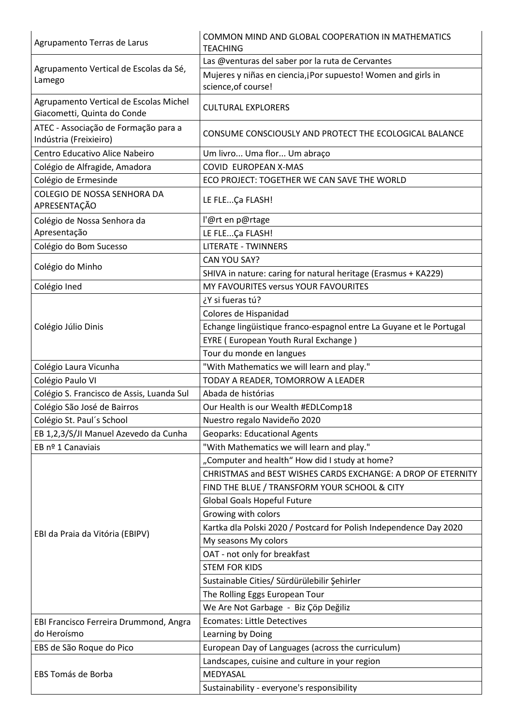| Agrupamento Terras de Larus                                           | COMMON MIND AND GLOBAL COOPERATION IN MATHEMATICS<br><b>TEACHING</b>                 |
|-----------------------------------------------------------------------|--------------------------------------------------------------------------------------|
|                                                                       | Las @venturas del saber por la ruta de Cervantes                                     |
| Agrupamento Vertical de Escolas da Sé,<br>Lamego                      | Mujeres y niñas en ciencia, jPor supuesto! Women and girls in<br>science, of course! |
| Agrupamento Vertical de Escolas Michel<br>Giacometti, Quinta do Conde | <b>CULTURAL EXPLORERS</b>                                                            |
| ATEC - Associação de Formação para a<br>Indústria (Freixieiro)        | CONSUME CONSCIOUSLY AND PROTECT THE ECOLOGICAL BALANCE                               |
| Centro Educativo Alice Nabeiro                                        | Um livro Uma flor Um abraço                                                          |
| Colégio de Alfragide, Amadora                                         | COVID EUROPEAN X-MAS                                                                 |
| Colégio de Ermesinde                                                  | ECO PROJECT: TOGETHER WE CAN SAVE THE WORLD                                          |
| COLEGIO DE NOSSA SENHORA DA<br>APRESENTAÇÃO                           | LE FLEÇa FLASH!                                                                      |
| Colégio de Nossa Senhora da                                           | l'@rt en p@rtage                                                                     |
| Apresentação                                                          | LE FLEÇa FLASH!                                                                      |
| Colégio do Bom Sucesso                                                | <b>LITERATE - TWINNERS</b>                                                           |
|                                                                       | CAN YOU SAY?                                                                         |
| Colégio do Minho                                                      | SHIVA in nature: caring for natural heritage (Erasmus + KA229)                       |
| Colégio Ined                                                          | MY FAVOURITES versus YOUR FAVOURITES                                                 |
|                                                                       | ¿Y si fueras tú?                                                                     |
|                                                                       | Colores de Hispanidad                                                                |
| Colégio Júlio Dinis                                                   | Echange lingüistique franco-espagnol entre La Guyane et le Portugal                  |
|                                                                       | EYRE (European Youth Rural Exchange)                                                 |
|                                                                       | Tour du monde en langues                                                             |
| Colégio Laura Vicunha                                                 | "With Mathematics we will learn and play."                                           |
| Colégio Paulo VI                                                      | TODAY A READER, TOMORROW A LEADER                                                    |
| Colégio S. Francisco de Assis, Luanda Sul                             | Abada de histórias                                                                   |
| Colégio São José de Bairros                                           | Our Health is our Wealth #EDLComp18                                                  |
| Colégio St. Paul's School                                             | Nuestro regalo Navideño 2020                                                         |
| EB 1,2,3/S/JI Manuel Azevedo da Cunha                                 | <b>Geoparks: Educational Agents</b>                                                  |
| EB nº 1 Canaviais                                                     | "With Mathematics we will learn and play."                                           |
|                                                                       | "Computer and health" How did I study at home?                                       |
|                                                                       | CHRISTMAS and BEST WISHES CARDS EXCHANGE: A DROP OF ETERNITY                         |
|                                                                       | FIND THE BLUE / TRANSFORM YOUR SCHOOL & CITY                                         |
|                                                                       | <b>Global Goals Hopeful Future</b>                                                   |
|                                                                       | Growing with colors                                                                  |
|                                                                       | Kartka dla Polski 2020 / Postcard for Polish Independence Day 2020                   |
| EBI da Praia da Vitória (EBIPV)                                       | My seasons My colors                                                                 |
|                                                                       | OAT - not only for breakfast                                                         |
|                                                                       | <b>STEM FOR KIDS</b>                                                                 |
|                                                                       | Sustainable Cities/ Sürdürülebilir Şehirler                                          |
|                                                                       | The Rolling Eggs European Tour                                                       |
|                                                                       | We Are Not Garbage - Biz Çöp Değiliz                                                 |
| EBI Francisco Ferreira Drummond, Angra                                | <b>Ecomates: Little Detectives</b>                                                   |
| do Heroísmo                                                           | Learning by Doing                                                                    |
| EBS de São Roque do Pico                                              | European Day of Languages (across the curriculum)                                    |
| EBS Tomás de Borba                                                    | Landscapes, cuisine and culture in your region                                       |
|                                                                       | MEDYASAL                                                                             |
|                                                                       | Sustainability - everyone's responsibility                                           |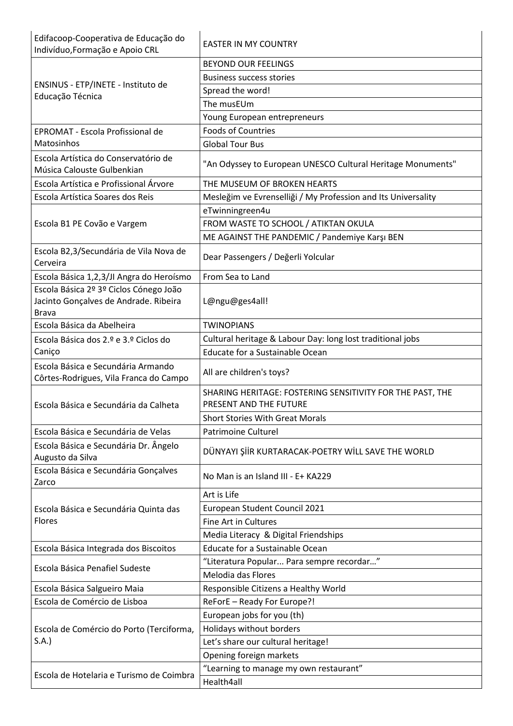| Edifacoop-Cooperativa de Educação do<br>Indivíduo, Formação e Apoio CRL      | <b>EASTER IN MY COUNTRY</b>                                   |
|------------------------------------------------------------------------------|---------------------------------------------------------------|
| ENSINUS - ETP/INETE - Instituto de<br>Educação Técnica                       | <b>BEYOND OUR FEELINGS</b>                                    |
|                                                                              | <b>Business success stories</b>                               |
|                                                                              | Spread the word!                                              |
|                                                                              | The musEUm                                                    |
|                                                                              | Young European entrepreneurs                                  |
| EPROMAT - Escola Profissional de                                             | <b>Foods of Countries</b>                                     |
| Matosinhos                                                                   | <b>Global Tour Bus</b>                                        |
| Escola Artística do Conservatório de                                         |                                                               |
| Música Calouste Gulbenkian                                                   | "An Odyssey to European UNESCO Cultural Heritage Monuments"   |
| Escola Artística e Profissional Árvore                                       | THE MUSEUM OF BROKEN HEARTS                                   |
| Escola Artística Soares dos Reis                                             | Mesleğim ve Evrenselliği / My Profession and Its Universality |
|                                                                              | eTwinningreen4u                                               |
| Escola B1 PE Covão e Vargem                                                  | FROM WASTE TO SCHOOL / ATIKTAN OKULA                          |
|                                                                              | ME AGAINST THE PANDEMIC / Pandemiye Karşı BEN                 |
| Escola B2,3/Secundária de Vila Nova de                                       |                                                               |
| Cerveira                                                                     | Dear Passengers / Değerli Yolcular                            |
| Escola Básica 1,2,3/JI Angra do Heroísmo                                     | From Sea to Land                                              |
| Escola Básica 2º 3º Ciclos Cónego João                                       |                                                               |
| Jacinto Gonçalves de Andrade. Ribeira                                        | L@ngu@ges4all!                                                |
| <b>Brava</b>                                                                 |                                                               |
| Escola Básica da Abelheira                                                   | <b>TWINOPIANS</b>                                             |
| Escola Básica dos 2.º e 3.º Ciclos do                                        | Cultural heritage & Labour Day: long lost traditional jobs    |
| Caniço                                                                       | Educate for a Sustainable Ocean                               |
|                                                                              |                                                               |
| Escola Básica e Secundária Armando<br>Côrtes-Rodrigues, Vila Franca do Campo | All are children's toys?                                      |
|                                                                              | SHARING HERITAGE: FOSTERING SENSITIVITY FOR THE PAST, THE     |
| Escola Básica e Secundária da Calheta                                        | PRESENT AND THE FUTURE                                        |
|                                                                              | <b>Short Stories With Great Morals</b>                        |
| Escola Básica e Secundária de Velas                                          | <b>Patrimoine Culturel</b>                                    |
| Escola Básica e Secundária Dr. Ângelo<br>Augusto da Silva                    | DÜNYAYI ŞİİR KURTARACAK-POETRY WİLL SAVE THE WORLD            |
| Escola Básica e Secundária Gonçalves<br>Zarco                                | No Man is an Island III - E+ KA229                            |
|                                                                              | Art is Life                                                   |
| Escola Básica e Secundária Quinta das                                        | European Student Council 2021                                 |
| <b>Flores</b>                                                                | Fine Art in Cultures                                          |
|                                                                              | Media Literacy & Digital Friendships                          |
| Escola Básica Integrada dos Biscoitos                                        | Educate for a Sustainable Ocean                               |
|                                                                              | "Literatura Popular Para sempre recordar"                     |
| Escola Básica Penafiel Sudeste                                               | Melodia das Flores                                            |
| Escola Básica Salgueiro Maia                                                 | Responsible Citizens a Healthy World                          |
| Escola de Comércio de Lisboa                                                 | ReForE - Ready For Europe?!                                   |
|                                                                              | European jobs for you (th)                                    |
| Escola de Comércio do Porto (Terciforma,                                     | Holidays without borders                                      |
| S.A.                                                                         | Let's share our cultural heritage!                            |
|                                                                              | Opening foreign markets                                       |
| Escola de Hotelaria e Turismo de Coimbra                                     | "Learning to manage my own restaurant"                        |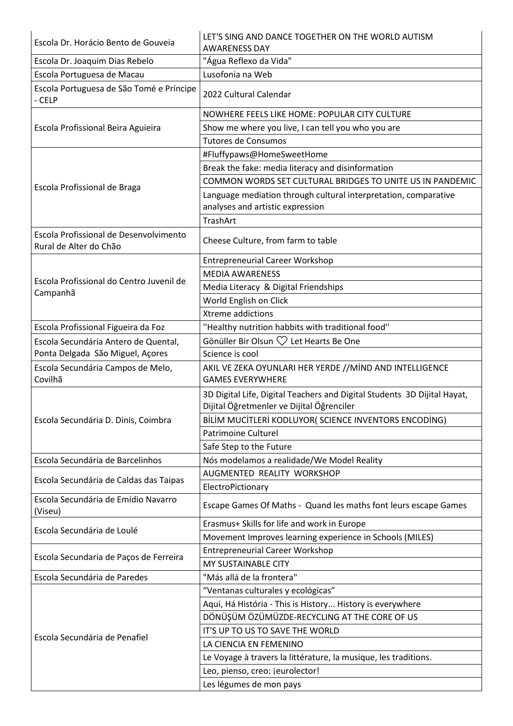| Escola Dr. Horácio Bento de Gouveia                              | LET'S SING AND DANCE TOGETHER ON THE WORLD AUTISM<br><b>AWARENESS DAY</b>                                             |
|------------------------------------------------------------------|-----------------------------------------------------------------------------------------------------------------------|
| Escola Dr. Joaquim Dias Rebelo                                   | "Água Reflexo da Vida"                                                                                                |
| Escola Portuguesa de Macau                                       | Lusofonia na Web                                                                                                      |
| Escola Portuguesa de São Tomé e Príncipe<br>- CELP               | 2022 Cultural Calendar                                                                                                |
|                                                                  | NOWHERE FEELS LIKE HOME: POPULAR CITY CULTURE                                                                         |
| Escola Profissional Beira Aguieira                               | Show me where you live, I can tell you who you are                                                                    |
|                                                                  | <b>Tutores de Consumos</b>                                                                                            |
|                                                                  | #Fluffypaws@HomeSweetHome                                                                                             |
|                                                                  | Break the fake: media literacy and disinformation                                                                     |
|                                                                  | COMMON WORDS SET CULTURAL BRIDGES TO UNITE US IN PANDEMIC                                                             |
| Escola Profissional de Braga                                     | Language mediation through cultural interpretation, comparative<br>analyses and artistic expression                   |
|                                                                  | <b>TrashArt</b>                                                                                                       |
| Escola Profissional de Desenvolvimento<br>Rural de Alter do Chão | Cheese Culture, from farm to table                                                                                    |
|                                                                  | <b>Entrepreneurial Career Workshop</b>                                                                                |
|                                                                  | <b>MEDIA AWARENESS</b>                                                                                                |
| Escola Profissional do Centro Juvenil de                         | Media Literacy & Digital Friendships                                                                                  |
| Campanhã                                                         | World English on Click                                                                                                |
|                                                                  | Xtreme addictions                                                                                                     |
| Escola Profissional Figueira da Foz                              | "Healthy nutrition habbits with traditional food"                                                                     |
| Escola Secundária Antero de Quental,                             | Gönüller Bir Olsun $\heartsuit$ Let Hearts Be One                                                                     |
| Ponta Delgada São Miguel, Açores                                 | Science is cool                                                                                                       |
| Escola Secundária Campos de Melo,<br>Covilhã                     | AKIL VE ZEKA OYUNLARI HER YERDE //MİND AND INTELLIGENCE<br><b>GAMES EVERYWHERE</b>                                    |
|                                                                  | 3D Digital Life, Digital Teachers and Digital Students 3D Dijital Hayat,<br>Dijital Öğretmenler ve Dijital Öğrenciler |
| Escola Secundária D. Dinis, Coimbra                              | BİLİM MUCİTLERİ KODLUYOR( SCIENCE INVENTORS ENCODİNG)                                                                 |
|                                                                  | <b>Patrimoine Culturel</b>                                                                                            |
|                                                                  | Safe Step to the Future                                                                                               |
| Escola Secundária de Barcelinhos                                 | Nós modelamos a realidade/We Model Reality                                                                            |
|                                                                  | AUGMENTED REALITY WORKSHOP                                                                                            |
| Escola Secundária de Caldas das Taipas                           | ElectroPictionary                                                                                                     |
| Escola Secundária de Emídio Navarro<br>(Viseu)                   | Escape Games Of Maths - Quand les maths font leurs escape Games                                                       |
|                                                                  |                                                                                                                       |
|                                                                  | Erasmus+ Skills for life and work in Europe                                                                           |
| Escola Secundária de Loulé                                       | Movement Improves learning experience in Schools (MILES)                                                              |
|                                                                  | <b>Entrepreneurial Career Workshop</b>                                                                                |
| Escola Secundaria de Paços de Ferreira                           | MY SUSTAINABLE CITY                                                                                                   |
| Escola Secundária de Paredes                                     | "Más allá de la frontera"                                                                                             |
|                                                                  | "Ventanas culturales y ecológicas"                                                                                    |
|                                                                  | Aqui, Há História - This is History History is everywhere                                                             |
|                                                                  | DÖNÜŞÜM ÖZÜMÜZDE-RECYCLING AT THE CORE OF US                                                                          |
|                                                                  | IT'S UP TO US TO SAVE THE WORLD                                                                                       |
| Escola Secundária de Penafiel                                    | LA CIENCIA EN FEMENINO                                                                                                |
|                                                                  | Le Voyage à travers la littérature, la musique, les traditions.                                                       |
|                                                                  | Leo, pienso, creo: jeurolector!                                                                                       |